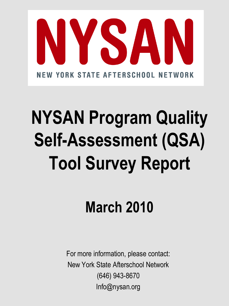

# **NYSAN Program Quality Self-Assessment (QSA) Tool Survey Report**

## **March 2010**

For more information, please contact: New York State Afterschool Network (646) 943-8670 Info@nysan.org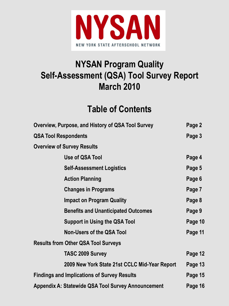

### **NYSAN Program Quality Self-Assessment (QSA) Tool Survey Report March 2010**

### **Table of Contents**

| Overview, Purpose, and History of QSA Tool Survey         | Page 2  |
|-----------------------------------------------------------|---------|
| <b>QSA Tool Respondents</b>                               | Page 3  |
| <b>Overview of Survey Results</b>                         |         |
| Use of QSA Tool                                           | Page 4  |
| <b>Self-Assessment Logistics</b>                          | Page 5  |
| <b>Action Planning</b>                                    | Page 6  |
| <b>Changes in Programs</b>                                | Page 7  |
| <b>Impact on Program Quality</b>                          | Page 8  |
| <b>Benefits and Unanticipated Outcomes</b>                | Page 9  |
| <b>Support in Using the QSA Tool</b>                      | Page 10 |
| <b>Non-Users of the QSA Tool</b>                          | Page 11 |
| <b>Results from Other QSA Tool Surveys</b>                |         |
| <b>TASC 2009 Survey</b>                                   | Page 12 |
| 2009 New York State 21st CCLC Mid-Year Report             | Page 13 |
| <b>Findings and Implications of Survey Results</b>        | Page 15 |
| <b>Appendix A: Statewide QSA Tool Survey Announcement</b> | Page 16 |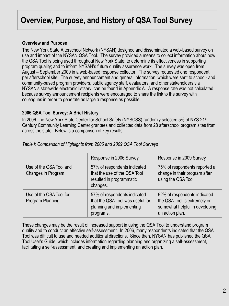### **Overview, Purpose, and History of QSA Tool Survey**

#### **Overview and Purpose**

The New York State Afterschool Network (NYSAN) designed and disseminated a web-based survey on use and impact of the NYSAN QSA Tool. The survey provided a means to collect information about how the QSA Tool is being used throughout New York State; to determine its effectiveness in supporting program quality; and to inform NYSAN's future quality assurance work. The survey was open from August – September 2009 in a web-based response collector. The survey requested one respondent per afterschool site. The survey announcement and general information, which were sent to school- and community-based program providers, public agency staff, evaluators, and other stakeholders via NYSAN's statewide electronic listserv, can be found in Appendix A. A response rate was not calculated because survey announcement recipients were encouraged to share the link to the survey with colleagues in order to generate as large a response as possible.

#### **2006 QSA Tool Survey: A Brief History**

In 2006, the New York State Center for School Safety (NYSCSS) randomly selected 5% of NYS 21<sup>st</sup> Century Community Learning Center grantees and collected data from 28 afterschool program sites from across the state. Below is a comparison of key results.

|                                               | Response in 2006 Survey                                                                                    | Response in 2009 Survey                                                                                           |
|-----------------------------------------------|------------------------------------------------------------------------------------------------------------|-------------------------------------------------------------------------------------------------------------------|
| Use of the QSA Tool and<br>Changes in Program | 57% of respondents indicated<br>that the use of the QSA Tool<br>resulted in programmatic<br>changes.       | 75% of respondents reported a<br>change in their program after<br>using the QSA Tool.                             |
| Use of the QSA Tool for<br>Program Planning   | 57% of respondents indicated<br>that the QSA Tool was useful for<br>planning and implementing<br>programs. | 92% of respondents indicated<br>the QSA Tool is extremely or<br>somewhat helpful in developing<br>an action plan. |

*Table I: Comparison of Highlights from 2006 and 2009 QSA Tool Surveys*

These changes may be the result of increased support in using the QSA Tool to understand program quality and to conduct an effective self-assessment. In 2006, many respondents indicated that the QSA Tool was difficult to use and needed additional directions. Since then, NYSAN has published the QSA Tool User's Guide, which includes information regarding planning and organizing a self-assessment, facilitating a self-assessment, and creating and implementing an action plan.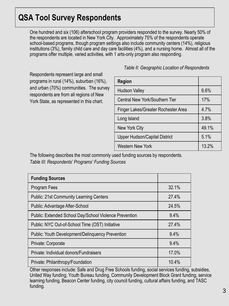### **QSA Tool Survey Respondents**

One hundred and six (106) afterschool program providers responded to the survey. Nearly 50% of the respondents are located in New York City. Approximately 75% of the respondents operate school-based programs, though program settings also include community centers (14%), religious institutions (3%), family child care and day care facilities (4%), and a nursing home. Almost all of the programs offer multiple, varied activities, with 1 arts-only program also responding.

Respondents represent large and small programs in rural (14%), suburban (16%), and urban (70%) communities. The survey respondents are from all regions of New York State, as represented in this chart.

| <b>Region</b>                        |       |
|--------------------------------------|-------|
| Hudson Valley                        | 6.6%  |
| Central New York/Southern Tier       | 17%   |
| Finger Lakes/Greater Rochester Area  | 4.7%  |
| Long Island                          | 3.8%  |
| New York City                        | 49.1% |
| <b>Upper Hudson/Capital District</b> | 5.1%  |
| <b>Western New York</b>              | 13.2% |

*Table II: Geographic Location of Respondents*

The following describes the most commonly used funding sources by respondents. *Table III: Respondents' Programs' Funding Sources*

| <b>Funding Sources</b>                                  |       |
|---------------------------------------------------------|-------|
| Program Fees                                            | 32.1% |
| <b>Public: 21st Community Learning Centers</b>          | 27.4% |
| Public: Advantage After-School                          | 24.5% |
| Public: Extended School Day/School Violence Prevention  | 9.4%  |
| Public: NYC Out-of-School Time (OST) Initiative         | 27.4% |
| <b>Public: Youth Development/Delinguency Prevention</b> | 9.4%  |
| Private: Corporate                                      | 9.4%  |
| Private: Individual donors/Fundraisers                  | 17.0% |
| Private: Philanthropy/Foundation                        | 10.4% |

Other responses include: Safe and Drug Free Schools funding, social services funding, subsidies, United Way funding, Youth Bureau funding, Community Development Block Grant funding, service learning funding, Beacon Center funding, city council funding, cultural affairs funding, and TASC funding.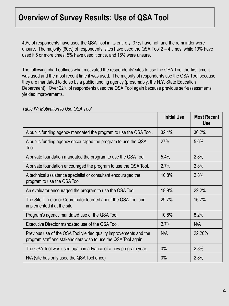40% of respondents have used the QSA Tool in its entirety, 37% have not, and the remainder were unsure. The majority (60%) of respondents' sites have used the QSA Tool 2 – 4 times, while 19% have used it 5 or more times, 5% have used it once, and 16% were unsure.

The following chart outlines what motivated the respondents' sites to use the QSA Tool the first time it was used and the most recent time it was used. The majority of respondents use the QSA Tool because they are mandated to do so by a public funding agency (presumably, the N.Y. State Education Department). Over 22% of respondents used the QSA Tool again because previous self-assessments yielded improvements.

|                                                                                                                                     | <b>Initial Use</b> | <b>Most Recent</b><br><b>Use</b> |
|-------------------------------------------------------------------------------------------------------------------------------------|--------------------|----------------------------------|
| A public funding agency mandated the program to use the QSA Tool.                                                                   | 32.4%              | 36.2%                            |
| A public funding agency encouraged the program to use the QSA<br>Tool.                                                              | 27%                | 5.6%                             |
| A private foundation mandated the program to use the QSA Tool.                                                                      | 5.4%               | 2.8%                             |
| A private foundation encouraged the program to use the QSA Tool.                                                                    | 2.7%               | 2.8%                             |
| A technical assistance specialist or consultant encouraged the<br>program to use the QSA Tool.                                      | 10.8%              | 2.8%                             |
| An evaluator encouraged the program to use the QSA Tool.                                                                            | 18.9%              | 22.2%                            |
| The Site Director or Coordinator learned about the QSA Tool and<br>implemented it at the site.                                      | 29.7%              | 16.7%                            |
| Program's agency mandated use of the QSA Tool.                                                                                      | 10.8%              | 8.2%                             |
| Executive Director mandated use of the QSA Tool.                                                                                    | 2.7%               | N/A                              |
| Previous use of the QSA Tool yielded quality improvements and the<br>program staff and stakeholders wish to use the QSA Tool again. | N/A                | 22.20%                           |
| The QSA Tool was used again in advance of a new program year.                                                                       | $0\%$              | 2.8%                             |
| N/A (site has only used the QSA Tool once)                                                                                          | 0%                 | 2.8%                             |

*Table IV: Motivation to Use QSA Tool*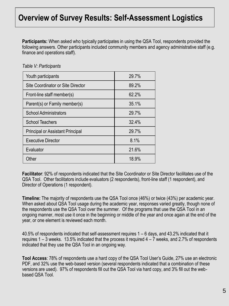**Participants:** When asked who typically participates in using the QSA Tool, respondents provided the following answers. Other participants included community members and agency administrative staff (e.g. finance and operations staff).

| Youth participants                      | 29.7% |
|-----------------------------------------|-------|
| Site Coordinator or Site Director       | 89.2% |
| Front-line staff member(s)              | 62.2% |
| Parent(s) or Family member(s)           | 35.1% |
| <b>School Administrators</b>            | 29.7% |
| <b>School Teachers</b>                  | 32.4% |
| <b>Principal or Assistant Principal</b> | 29.7% |
| <b>Executive Director</b>               | 8.1%  |
| Evaluator                               | 21.6% |
| Other                                   | 18.9% |

*Table V: Participants*

**Facilitator**: 92% of respondents indicated that the Site Coordinator or Site Director facilitates use of the QSA Tool. Other facilitators include evaluators (2 respondents), front-line staff (1 respondent), and Director of Operations (1 respondent).

**Timeline:** The majority of respondents use the QSA Tool once (46%) or twice (43%) per academic year. When asked about QSA Tool usage during the academic year, responses varied greatly, though none of the respondents use the QSA Tool over the summer. Of the programs that use the QSA Tool in an ongoing manner, most use it once in the beginning or middle of the year and once again at the end of the year, or one element is reviewed each month.

40.5% of respondents indicated that self-assessment requires 1 – 6 days, and 43.2% indicated that it requires 1 – 3 weeks. 13.5% indicated that the process it required 4 – 7 weeks, and 2.7% of respondents indicated that they use the QSA Tool in an ongoing way.

**Tool Access**: 78% of respondents use a hard copy of the QSA Tool User's Guide, 27% use an electronic PDF, and 32% use the web-based version (several respondents indicated that a combination of these versions are used). 97% of respondents fill out the QSA Tool via hard copy, and 3% fill out the webbased QSA Tool.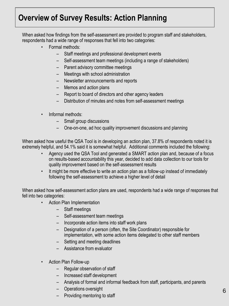### **Overview of Survey Results: Action Planning**

When asked how findings from the self-assessment are provided to program staff and stakeholders, respondents had a wide range of responses that fell into two categories:

- Formal methods:
	- Staff meetings and professional development events
	- Self-assessment team meetings (including a range of stakeholders)
	- Parent advisory committee meetings
	- Meetings with school administration
	- Newsletter announcements and reports
	- Memos and action plans
	- Report to board of directors and other agency leaders
	- Distribution of minutes and notes from self-assessment meetings
- Informal methods:
	- Small group discussions
	- One-on-one, ad hoc quality improvement discussions and planning

When asked how useful the QSA Tool is in developing an action plan, 37.8% of respondents noted it is extremely helpful, and 54.1% said it is somewhat helpful. Additional comments included the following:

- Agency used the QSA Tool and generated a SMART action plan and, because of a focus on results-based accountability this year, decided to add data collection to our tools for quality improvement based on the self-assessment results
- It might be more effective to write an action plan as a follow-up instead of immediately following the self-assessment to achieve a higher level of detail

When asked how self-assessment action plans are used, respondents had a wide range of responses that fell into two categories:

- Action Plan Implementation
	- Staff meetings
	- Self-assessment team meetings
	- Incorporate action items into staff work plans
	- Designation of a person (often, the Site Coordinator) responsible for implementation, with some action items delegated to other staff members
	- Setting and meeting deadlines
	- Assistance from evaluator
- Action Plan Follow-up
	- Regular observation of staff
	- Increased staff development
	- Analysis of formal and informal feedback from staff, participants, and parents
	- Operations oversight
	- Providing mentoring to staff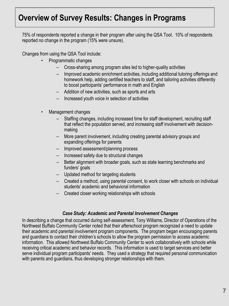### **Overview of Survey Results: Changes in Programs**

75% of respondents reported a change in their program after using the QSA Tool. 10% of respondents reported no change in the program (15% were unsure).

Changes from using the QSA Tool include:

- Programmatic changes
	- Cross-sharing among program sites led to higher-quality activities
	- Improved academic enrichment activities, including additional tutoring offerings and homework help, adding certified teachers to staff, and tailoring activities differently to boost participants' performance in math and English
	- Addition of new activities, such as sports and arts
	- Increased youth voice in selection of activities
- Management changes
	- Staffing changes, including increased time for staff development, recruiting staff that reflect the population served, and increasing staff involvement with decisionmaking
	- More parent involvement, including creating parental advisory groups and expanding offerings for parents
	- Improved assessment/planning process
	- Increased safety due to structural changes
	- Better alignment with broader goals, such as state learning benchmarks and funders' goals
	- Updated method for targeting students
	- Created a method, using parental consent, to work closer with schools on individual students' academic and behavioral information
	- Created closer working relationships with schools

#### *Case Study: Academic and Parental Involvement Changes*

In describing a change that occurred during self-assessment, Tony Williams, Director of Operations of the Northwest Buffalo Community Center noted that their afterschool program recognized a need to update their academic and parental involvement program components. The program began encouraging parents and guardians to contact their children's schools to allow the program permission to access academic information. This allowed Northwest Buffalo Community Center to work collaboratively with schools while receiving critical academic and behavior records. This information is used to target services and better serve individual program participants' needs. They used a strategy that required personal communication with parents and guardians, thus developing stronger relationships with them.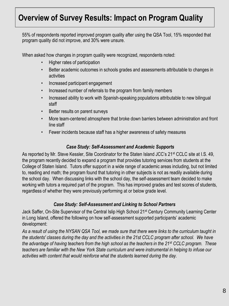### **Overview of Survey Results: Impact on Program Quality**

55% of respondents reported improved program quality after using the QSA Tool, 15% responded that program quality did not improve, and 30% were unsure.

When asked how changes in program quality were recognized, respondents noted:

- Higher rates of participation
- Better academic outcomes in schools grades and assessments attributable to changes in activities
- Increased participant engagement
- Increased number of referrals to the program from family members
- Increased ability to work with Spanish-speaking populations attributable to new bilingual staff
- Better results on parent surveys
- More team-centered atmosphere that broke down barriers between administration and front line staff
- Fewer incidents because staff has a higher awareness of safety measures

#### *Case Study: Self-Assessment and Academic Supports*

As reported by Mr. Steve Kessler, Site Coordinator for the Staten Island JCC's 21<sup>st</sup> CCLC site at I.S. 49, the program recently decided to expand a program that provides tutoring services from students at the College of Staten Island. Tutors offer support in a wide range of academic areas including, but not limited to, reading and math; the program found that tutoring in other subjects is not as readily available during the school day. When discussing links with the school day, the self-assessment team decided to make working with tutors a required part of the program. This has improved grades and test scores of students, regardless of whether they were previously performing at or below grade level.

#### *Case Study: Self-Assessment and Linking to School Partners*

Jack Saffer, On-Site Supervisor of the Central Islip High School 21<sup>st</sup> Century Community Learning Center in Long Island, offered the following on how self-assessment supported participants' academic development:

*As a result of using the NYSAN QSA Tool, we made sure that there were links to the curriculum taught in the students' classes during the day and the activities in the 21st CCLC program after school. We have the advantage of having teachers from the high school as the teachers in the 21st CCLC program. These teachers are familiar with the New York State curriculum and were instrumental in helping to infuse our activities with content that would reinforce what the students learned during the day.*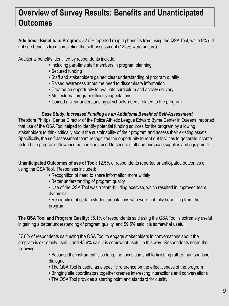### **Overview of Survey Results: Benefits and Unanticipated Outcomes**

**Additional Benefits to Program:** 82.5% reported reaping benefits from using the QSA Tool, while 5% did not see benefits from completing the self-assessment (12.5% were unsure).

Additional benefits identified by respondents include:

- Including part-time staff members in program planning
- Secured funding
- Staff and stakeholders gained clear understanding of program quality
- Raised awareness about the need to disseminate information
- Created an opportunity to evaluate curriculum and activity delivery
- Met external program officer's expectations
- Gained a clear understanding of schools' needs related to the program

#### *Case Study: Increased Funding as an Additional Benefit of Self-Assessment*

Theodore Phillips, Center Director of the Police Athletic League Edward Byrne Center in Queens, reported that use of the QSA Tool helped to identify potential funding sources for the program by allowing stakeholders to think critically about the sustainability of their program and assess their existing assets. Specifically, the self-assessment team recognized the opportunity to rent out facilities to generate income to fund the program. New income has been used to secure staff and purchase supplies and equipment.

**Unanticipated Outcomes of use of Tool:** 12.5% of respondents reported unanticipated outcomes of using the QSA Tool. Responses included:

- Recognition of need to share information more widely
- Better understanding of program quality
- Use of the QSA Tool was a team-building exercise, which resulted in improved team dynamics

• Recognition of certain student populations who were not fully benefiting from the program

**The QSA Tool and Program Quality:** 35.1% of respondents said using the QSA Tool is extremely useful in gaining a better understanding of program quality, and 59.5% said it is somewhat useful.

37.8% of respondents said using the QSA Tool to engage stakeholders in conversations about the program is extremely useful, and 48.6% said it is somewhat useful in this way. Respondents noted the following:

> • Because the instrument is so long, the focus can shift to finishing rather than sparking dialogue

- The QSA Tool is useful as a specific reference on the effectiveness of the program
- Bringing site coordinators together creates interesting interactions and conversations
- The QSA Tool provides a starting point and standard for quality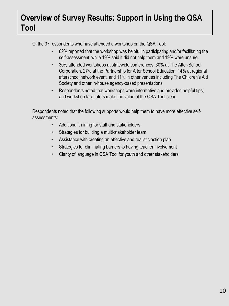### **Overview of Survey Results: Support in Using the QSA Tool**

Of the 37 respondents who have attended a workshop on the QSA Tool:

- 62% reported that the workshop was helpful in participating and/or facilitating the self-assessment, while 19% said it did not help them and 19% were unsure
- 30% attended workshops at statewide conferences, 30% at The After-School Corporation, 27% at the Partnership for After School Education, 14% at regional afterschool network event, and 11% in other venues including The Children's Aid Society and other in-house agency-based presentations
- Respondents noted that workshops were informative and provided helpful tips, and workshop facilitators make the value of the QSA Tool clear.

Respondents noted that the following supports would help them to have more effective selfassessments:

- Additional training for staff and stakeholders
- Strategies for building a multi-stakeholder team
- Assistance with creating an effective and realistic action plan
- Strategies for eliminating barriers to having teacher involvement
- Clarity of language in QSA Tool for youth and other stakeholders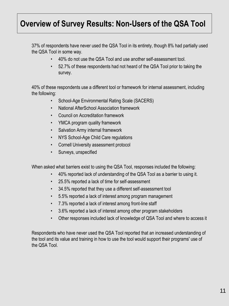### **Overview of Survey Results: Non-Users of the QSA Tool**

37% of respondents have never used the QSA Tool in its entirety, though 8% had partially used the QSA Tool in some way.

- 40% do not use the QSA Tool and use another self-assessment tool.
- 52.7% of these respondents had not heard of the QSA Tool prior to taking the survey.

40% of these respondents use a different tool or framework for internal assessment, including the following:

- School-Age Environmental Rating Scale (SACERS)
- National AfterSchool Association framework
- Council on Accreditation framework
- YMCA program quality framework
- Salvation Army internal framework
- NYS School-Age Child Care regulations
- Cornell University assessment protocol
- Surveys, unspecified

When asked what barriers exist to using the QSA Tool, responses included the following:

- 40% reported lack of understanding of the QSA Tool as a barrier to using it.
- 25.5% reported a lack of time for self-assessment
- 34.5% reported that they use a different self-assessment tool
- 5.5% reported a lack of interest among program management
- 7.3% reported a lack of interest among front-line staff
- 3.6% reported a lack of interest among other program stakeholders
- Other responses included lack of knowledge of QSA Tool and where to access it

Respondents who have never used the QSA Tool reported that an increased understanding of the tool and its value and training in how to use the tool would support their programs' use of the QSA Tool.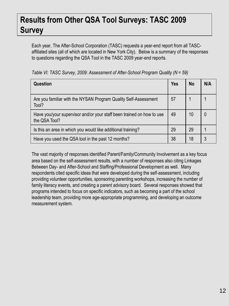### **Results from Other QSA Tool Surveys: TASC 2009 Survey**

Each year, The After-School Corporation (TASC) requests a year-end report from all TASCaffiliated sites (all of which are located in New York City). Below is a summary of the responses to questions regarding the QSA Tool in the TASC 2009 year-end reports.

| Question                                                                               | <b>Yes</b> | <b>No</b> | N/A |
|----------------------------------------------------------------------------------------|------------|-----------|-----|
| Are you familiar with the NYSAN Program Quality Self-Assessment<br>Tool?               | 57         |           |     |
| Have you/your supervisor and/or your staff been trained on how to use<br>the QSA Tool? | 49         | 10        |     |
| Is this an area in which you would like additional training?                           | 29         | 29        |     |
| Have you used the QSA tool in the past 12 months?                                      | 38         | 18        | 3   |

*Table VI: TASC Survey, 2009: Assessment of After-School Program Quality (N = 59)*

The vast majority of responses identified Parent/Family/Community Involvement as a key focus area based on the self-assessment results, with a number of responses also citing Linkages Between Day- and After-School and Staffing/Professional Development as well. Many respondents cited specific ideas that were developed during the self-assessment, including providing volunteer opportunities, sponsoring parenting workshops, increasing the number of family literacy events, and creating a parent advisory board. Several responses showed that programs intended to focus on specific indicators, such as becoming a part of the school leadership team, providing more age-appropriate programming, and developing an outcome measurement system.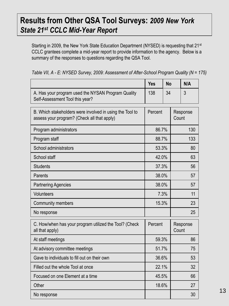### **Results from Other QSA Tool Surveys:** *2009 New York State 21st CCLC Mid-Year Report*

Starting in 2009, the New York State Education Department (NYSED) is requesting that 21<sup>st</sup> CCLC grantees complete a mid-year report to provide information to the agency. Below is a summary of the responses to questions regarding the QSA Tool.

|                                                                                                         | <b>Yes</b> | <b>No</b> |       | N/A      |
|---------------------------------------------------------------------------------------------------------|------------|-----------|-------|----------|
| A. Has your program used the NYSAN Program Quality<br>Self-Assessment Tool this year?                   | 138        | 34        |       | 3        |
| B. Which stakeholders were involved in using the Tool to<br>assess your program? (Check all that apply) | Percent    |           | Count | Response |
| Program administrators                                                                                  | 86.7%      |           |       | 130      |
| Program staff                                                                                           | 88.7%      |           | 133   |          |
| School administrators                                                                                   | 53.3%      |           |       | 80       |
| School staff                                                                                            | 42.0%      |           |       | 63       |
| <b>Students</b>                                                                                         | 37.3%      |           | 56    |          |
| Parents                                                                                                 | 38.0%      |           | 57    |          |
| <b>Partnering Agencies</b>                                                                              | 38.0%      |           | 57    |          |
| Volunteers                                                                                              | 7.3%       |           | 11    |          |
| <b>Community members</b>                                                                                | 15.3%      |           |       | 23       |
| No response                                                                                             |            |           |       | 25       |
| C. How/when has your program utilized the Tool? (Check<br>all that apply)                               | Percent    |           | Count | Response |
| At staff meetings                                                                                       | 59.3%      |           |       | 86       |
| At advisory committee meetings                                                                          | 51.7%      |           | 75    |          |
| Gave to individuals to fill out on their own                                                            | 36.6%      |           | 53    |          |
| Filled out the whole Tool at once                                                                       | 22.1%      |           |       | 32       |
| Focused on one Element at a time                                                                        | 45.5%      |           | 66    |          |
| Other                                                                                                   | 18.6%      |           |       | 27       |
| No response                                                                                             |            |           |       | 30       |

| Table VII, A - E: NYSED Survey, 2009: Assessment of After-School Program Quality (N = 175) |  |  |
|--------------------------------------------------------------------------------------------|--|--|
|                                                                                            |  |  |
|                                                                                            |  |  |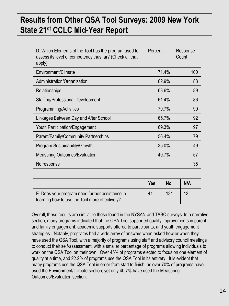### **Results from Other QSA Tool Surveys: 2009 New York State 21st CCLC Mid-Year Report**

| D. Which Elements of the Tool has the program used to<br>assess its level of competency thus far? (Check all that<br>apply) | Percent | Response<br>Count |
|-----------------------------------------------------------------------------------------------------------------------------|---------|-------------------|
| Environment/Climate                                                                                                         | 71.4%   | 100               |
| Administration/Organization                                                                                                 | 62.9%   | 88                |
| Relationships                                                                                                               | 63.6%   | 89                |
| <b>Staffing/Professional Development</b>                                                                                    | 61.4%   | 86                |
| Programming/Activities                                                                                                      | 70.7%   | 99                |
| Linkages Between Day and After School                                                                                       | 65.7%   | 92                |
| <b>Youth Participation/Engagement</b>                                                                                       | 69.3%   | 97                |
| Parent/Family/Community Partnerships                                                                                        | 56.4%   | 79                |
| Program Sustainability/Growth                                                                                               | 35.0%   | 49                |
| <b>Measuring Outcomes/Evaluation</b>                                                                                        | 40.7%   | 57                |
| No response                                                                                                                 |         | 35                |

|                                                                                                   | <b>Yes</b> | <b>No</b> | N/A |
|---------------------------------------------------------------------------------------------------|------------|-----------|-----|
| E. Does your program need further assistance in<br>learning how to use the Tool more effectively? | 41         | 131       |     |

Overall, these results are similar to those found in the NYSAN and TASC surveys. In a narrative section, many programs indicated that the QSA Tool supported quality improvements in parent and family engagement, academic supports offered to participants, and youth engagement strategies. Notably, programs had a wide array of answers when asked how or when they have used the QSA Tool, with a majority of programs using staff and advisory council meetings to conduct their self-assessment, with a smaller percentage of programs allowing individuals to work on the QSA Tool on their own. Over 45% of programs elected to focus on one element of quality at a time, and 22.2% of programs use the QSA Tool in its entirety. It is evident that many programs use the QSA Tool in order from start to finish, as over 70% of programs have used the Environment/Climate section, yet only 40.7% have used the Measuring Outcomes/Evaluation section.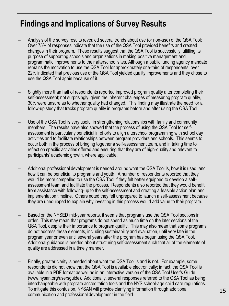### **Findings and Implications of Survey Results**

- Analysis of the survey results revealed several trends about use (or non-use) of the QSA Tool: Over 75% of responses indicate that the use of the QSA Tool provided benefits and created changes in their program. These results suggest that the QSA Tool is successfully fulfilling its purpose of supporting schools and organizations in making positive management and programmatic improvements to their afterschool sites. Although a public funding agency mandate remains the motivation to use the QSA Tool for approximately one-third of respondents, over 22% indicated that previous use of the QSA Tool yielded quality improvements and they chose to use the QSA Tool again because of it.
- Slightly more than half of respondents reported improved program quality after completing their self-assessment; not surprisingly, given the inherent challenges of measuring program quality, 30% were unsure as to whether quality had changed. This finding may illustrate the need for a follow-up study that tracks program quality in programs before and after using the QSA Tool.
- Use of the QSA Tool is very useful in strengthening relationships with family and community members. The results have also showed that the process of using the QSA Tool for selfassessment is particularly beneficial in efforts to align afterschool programming with school day activities and to facilitate relationships between program providers and schools. This seems to occur both in the process of bringing together a self-assessment team, and in taking time to reflect on specific activities offered and ensuring that they are of high-quality and relevant to participants' academic growth, where applicable.
- Additional professional development is needed around what the QSA Tool is, how it is used, and how it can be beneficial to programs and youth. A number of respondents reported that they would be more compelled to use the QSA Tool if they felt better equipped to develop a selfassessment team and facilitate the process. Respondents also reported that they would benefit from assistance with following-up to the self-assessment and creating a feasible action plan and implementation timeline. Others noted they felt unprepared to launch a self-assessment because they are unequipped to explain why investing in this process would add value to their program.
- Based on the NYSED mid-year reports, it seems that programs use the QSA Tool sections in order. This may mean that programs do not spend as much time on the later sections of the QSA Tool, despite their importance to program quality. This may also mean that some programs do not address these elements, including sustainability and evaluation, until very late in the program year or even until several years after the program has begun using the QSA Tool. Additional guidance is needed about structuring self-assessment such that all of the elements of quality are addressed in a timely manner.
- Finally, greater clarity is needed about what the QSA Tool is and is not. For example, some respondents did not know that the QSA Tool is available electronically; in fact, the QSA Tool is available in a PDF format as well as in an interactive version of the QSA Tool User's Guide (www.nysan.org/usersguide). Additionally, several responses referred to the QSA Tool as being interchangeable with program accreditation tools and the NYS school-age child care regulations. To mitigate this confusion, NYSAN will provide clarifying information through additional To mitigate this confusion, NYSAN will provide clarifying information through additional and the state of the communication and professional development in the field.